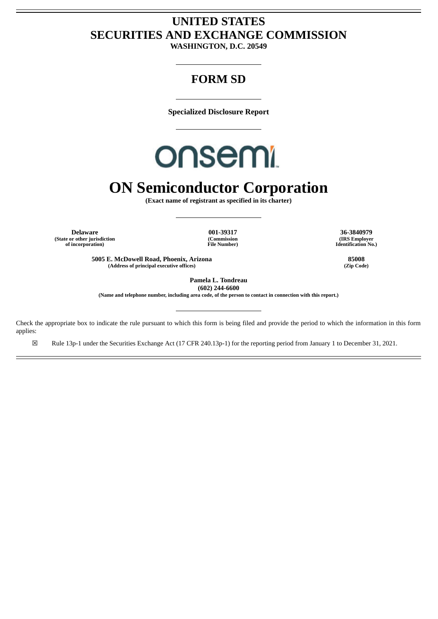### **UNITED STATES SECURITIES AND EXCHANGE COMMISSION**

**WASHINGTON, D.C. 20549**

### **FORM SD**

**Specialized Disclosure Report**

## **onsemi**

## **ON Semiconductor Corporation**

**(Exact name of registrant as specified in its charter)**

**Delaware 001-39317 36-3840979 (State or other jurisdiction of incorporation)**

**(Commission File Number)**

**5005 E. McDowell Road, Phoenix, Arizona 85008 (Address of principal executive offices) (Zip Code)**

**(IRS Employer Identification No.)**

**Pamela L. Tondreau (602) 244-6600**

(Name and telephone number, including area code, of the person to contact in connection with this report.)

Check the appropriate box to indicate the rule pursuant to which this form is being filed and provide the period to which the information in this form applies:

☒ Rule 13p-1 under the Securities Exchange Act (17 CFR 240.13p-1) for the reporting period from January 1 to December 31, 2021.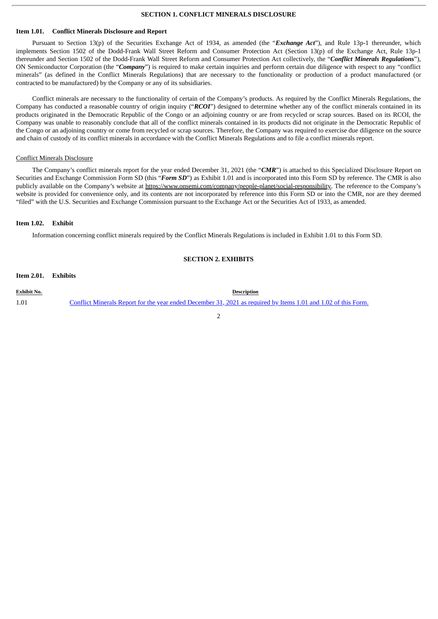#### **SECTION 1. CONFLICT MINERALS DISCLOSURE**

#### **Item 1.01. Conflict Minerals Disclosure and Report**

Pursuant to Section 13(p) of the Securities Exchange Act of 1934, as amended (the "*Exchange Act*"), and Rule 13p-1 thereunder, which implements Section 1502 of the Dodd-Frank Wall Street Reform and Consumer Protection Act (Section 13(p) of the Exchange Act, Rule 13p-1 thereunder and Section 1502 of the Dodd-Frank Wall Street Reform and Consumer Protection Act collectively, the "*Conflict Minerals Regulations*"), ON Semiconductor Corporation (the "*Company*") is required to make certain inquiries and perform certain due diligence with respect to any "conflict minerals" (as defined in the Conflict Minerals Regulations) that are necessary to the functionality or production of a product manufactured (or contracted to be manufactured) by the Company or any of its subsidiaries.

Conflict minerals are necessary to the functionality of certain of the Company's products. As required by the Conflict Minerals Regulations, the Company has conducted a reasonable country of origin inquiry ("*RCOI*") designed to determine whether any of the conflict minerals contained in its products originated in the Democratic Republic of the Congo or an adjoining country or are from recycled or scrap sources. Based on its RCOI, the Company was unable to reasonably conclude that all of the conflict minerals contained in its products did not originate in the Democratic Republic of the Congo or an adjoining country or come from recycled or scrap sources. Therefore, the Company was required to exercise due diligence on the source and chain of custody of its conflict minerals in accordance with the Conflict Minerals Regulations and to file a conflict minerals report.

#### Conflict Minerals Disclosure

The Company's conflict minerals report for the year ended December 31, 2021 (the "*CMR*") is attached to this Specialized Disclosure Report on Securities and Exchange Commission Form SD (this "*Form SD*") as Exhibit 1.01 and is incorporated into this Form SD by reference. The CMR is also publicly available on the Company's website at https://www.onsemi.com/company/people-planet/social-responsibility. The reference to the Company's website is provided for convenience only, and its contents are not incorporated by reference into this Form SD or into the CMR, nor are they deemed "filed" with the U.S. Securities and Exchange Commission pursuant to the Exchange Act or the Securities Act of 1933, as amended.

#### **Item 1.02. Exhibit**

Information concerning conflict minerals required by the Conflict Minerals Regulations is included in Exhibit 1.01 to this Form SD.

#### **SECTION 2. EXHIBITS**

**Exhibit No. Description** 1.01 Conflict Minerals Report for the year ended [December](#page-3-0) 31, 2021 as required by Items 1.01 and 1.02 of this Form.

 $\overline{2}$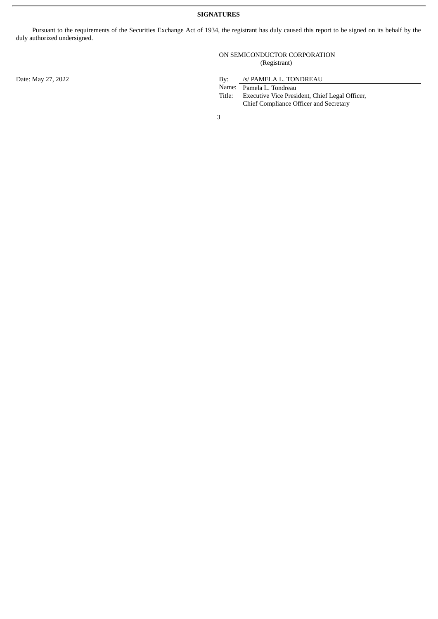Pursuant to the requirements of the Securities Exchange Act of 1934, the registrant has duly caused this report to be signed on its behalf by the duly authorized undersigned.

> ON SEMICONDUCTOR CORPORATION (Registrant)

Date: May 27, 2022 By: /s/ PAMELA L. TONDREAU

Name: Pamela L. Tondreau

Title: Executive Vice President, Chief Legal Officer, Chief Compliance Officer and Secretary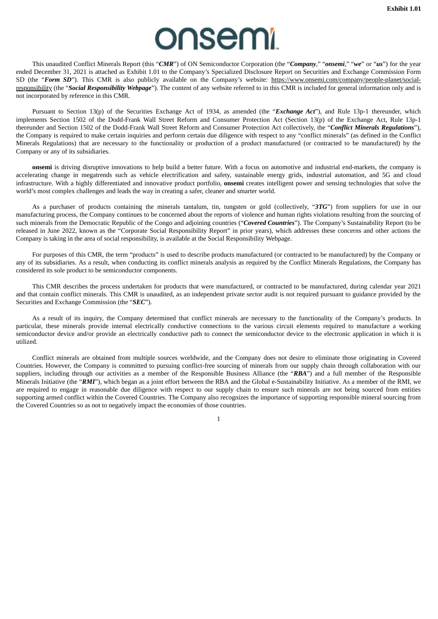# **onsemi**

<span id="page-3-0"></span>This unaudited Conflict Minerals Report (this "*CMR*") of ON Semiconductor Corporation (the "*Company*," "*onsemi*," "*we*" or "*us*") for the year ended December 31, 2021 is attached as Exhibit 1.01 to the Company's Specialized Disclosure Report on Securities and Exchange Commission Form SD (the "**Form SD**"). This CMR is also publicly available on the Company's website: https://www.onsemi.com/company/people-planet/socialresponsibility (the "*Social Responsibility Webpage*"). The content of any website referred to in this CMR is included for general information only and is not incorporated by reference in this CMR.

Pursuant to Section 13(p) of the Securities Exchange Act of 1934, as amended (the "*Exchange Act*"), and Rule 13p-1 thereunder, which implements Section 1502 of the Dodd-Frank Wall Street Reform and Consumer Protection Act (Section 13(p) of the Exchange Act, Rule 13p-1 thereunder and Section 1502 of the Dodd-Frank Wall Street Reform and Consumer Protection Act collectively, the "*Conflict Minerals Regulations*"), the Company is required to make certain inquiries and perform certain due diligence with respect to any "conflict minerals" (as defined in the Conflict Minerals Regulations) that are necessary to the functionality or production of a product manufactured (or contracted to be manufactured) by the Company or any of its subsidiaries.

**onsemi** is driving disruptive innovations to help build a better future. With a focus on automotive and industrial end-markets, the company is accelerating change in megatrends such as vehicle electrification and safety, sustainable energy grids, industrial automation, and 5G and cloud infrastructure. With a highly differentiated and innovative product portfolio, **onsemi** creates intelligent power and sensing technologies that solve the world's most complex challenges and leads the way in creating a safer, cleaner and smarter world.

As a purchaser of products containing the minerals tantalum, tin, tungsten or gold (collectively, "*3TG*") from suppliers for use in our manufacturing process, the Company continues to be concerned about the reports of violence and human rights violations resulting from the sourcing of such minerals from the Democratic Republic of the Congo and adjoining countries ("*Covered Countries*"). The Company's Sustainability Report (to be released in June 2022, known as the "Corporate Social Responsibility Report" in prior years), which addresses these concerns and other actions the Company is taking in the area of social responsibility, is available at the Social Responsibility Webpage.

For purposes of this CMR, the term "products" is used to describe products manufactured (or contracted to be manufactured) by the Company or any of its subsidiaries. As a result, when conducting its conflict minerals analysis as required by the Conflict Minerals Regulations, the Company has considered its sole product to be semiconductor components.

This CMR describes the process undertaken for products that were manufactured, or contracted to be manufactured, during calendar year 2021 and that contain conflict minerals. This CMR is unaudited, as an independent private sector audit is not required pursuant to guidance provided by the Securities and Exchange Commission (the "*SEC*").

As a result of its inquiry, the Company determined that conflict minerals are necessary to the functionality of the Company's products. In particular, these minerals provide internal electrically conductive connections to the various circuit elements required to manufacture a working semiconductor device and/or provide an electrically conductive path to connect the semiconductor device to the electronic application in which it is utilized.

Conflict minerals are obtained from multiple sources worldwide, and the Company does not desire to eliminate those originating in Covered Countries. However, the Company is committed to pursuing conflict-free sourcing of minerals from our supply chain through collaboration with our suppliers, including through our activities as a member of the Responsible Business Alliance (the "*RBA*") and a full member of the Responsible Minerals Initiative (the "*RMI*"), which began as a joint effort between the RBA and the Global e-Sustainability Initiative. As a member of the RMI, we are required to engage in reasonable due diligence with respect to our supply chain to ensure such minerals are not being sourced from entities supporting armed conflict within the Covered Countries. The Company also recognizes the importance of supporting responsible mineral sourcing from the Covered Countries so as not to negatively impact the economies of those countries.

1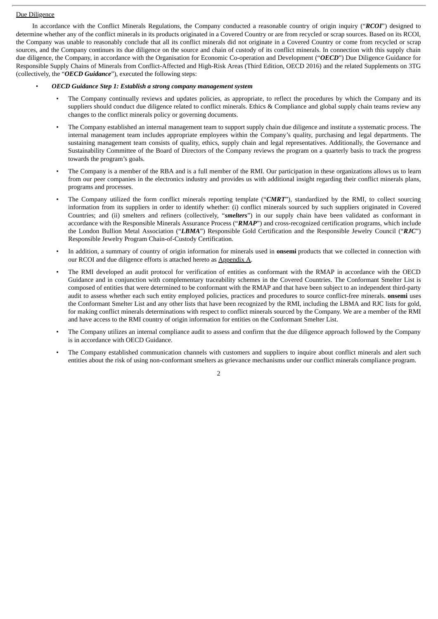#### Due Diligence

In accordance with the Conflict Minerals Regulations, the Company conducted a reasonable country of origin inquiry ("*RCOI*") designed to determine whether any of the conflict minerals in its products originated in a Covered Country or are from recycled or scrap sources. Based on its RCOI, the Company was unable to reasonably conclude that all its conflict minerals did not originate in a Covered Country or come from recycled or scrap sources, and the Company continues its due diligence on the source and chain of custody of its conflict minerals. In connection with this supply chain due diligence, the Company, in accordance with the Organisation for Economic Co-operation and Development ("*OECD*") Due Diligence Guidance for Responsible Supply Chains of Minerals from Conflict-Affected and High-Risk Areas (Third Edition, OECD 2016) and the related Supplements on 3TG (collectively, the "*OECD Guidance*"), executed the following steps:

#### • *OECD Guidance Step 1: Establish a strong company management system*

- The Company continually reviews and updates policies, as appropriate, to reflect the procedures by which the Company and its suppliers should conduct due diligence related to conflict minerals. Ethics & Compliance and global supply chain teams review any changes to the conflict minerals policy or governing documents.
- The Company established an internal management team to support supply chain due diligence and institute a systematic process. The internal management team includes appropriate employees within the Company's quality, purchasing and legal departments. The sustaining management team consists of quality, ethics, supply chain and legal representatives. Additionally, the Governance and Sustainability Committee of the Board of Directors of the Company reviews the program on a quarterly basis to track the progress towards the program's goals.
- The Company is a member of the RBA and is a full member of the RMI. Our participation in these organizations allows us to learn from our peer companies in the electronics industry and provides us with additional insight regarding their conflict minerals plans, programs and processes.
- The Company utilized the form conflict minerals reporting template ("*CMRT*"), standardized by the RMI, to collect sourcing information from its suppliers in order to identify whether: (i) conflict minerals sourced by such suppliers originated in Covered Countries; and (ii) smelters and refiners (collectively, "*smelters*") in our supply chain have been validated as conformant in accordance with the Responsible Minerals Assurance Process ("*RMAP*") and cross-recognized certification programs, which include the London Bullion Metal Association ("*LBMA*") Responsible Gold Certification and the Responsible Jewelry Council ("*RJC*") Responsible Jewelry Program Chain-of-Custody Certification.
- In addition, a summary of country of origin information for minerals used in **onsemi** products that we collected in connection with our RCOI and due diligence efforts is attached hereto as **Appendix A**.
- The RMI developed an audit protocol for verification of entities as conformant with the RMAP in accordance with the OECD Guidance and in conjunction with complementary traceability schemes in the Covered Countries. The Conformant Smelter List is composed of entities that were determined to be conformant with the RMAP and that have been subject to an independent third-party audit to assess whether each such entity employed policies, practices and procedures to source conflict-free minerals. **onsemi** uses the Conformant Smelter List and any other lists that have been recognized by the RMI, including the LBMA and RJC lists for gold, for making conflict minerals determinations with respect to conflict minerals sourced by the Company. We are a member of the RMI and have access to the RMI country of origin information for entities on the Conformant Smelter List.
- The Company utilizes an internal compliance audit to assess and confirm that the due diligence approach followed by the Company is in accordance with OECD Guidance.
- The Company established communication channels with customers and suppliers to inquire about conflict minerals and alert such entities about the risk of using non-conformant smelters as grievance mechanisms under our conflict minerals compliance program.

2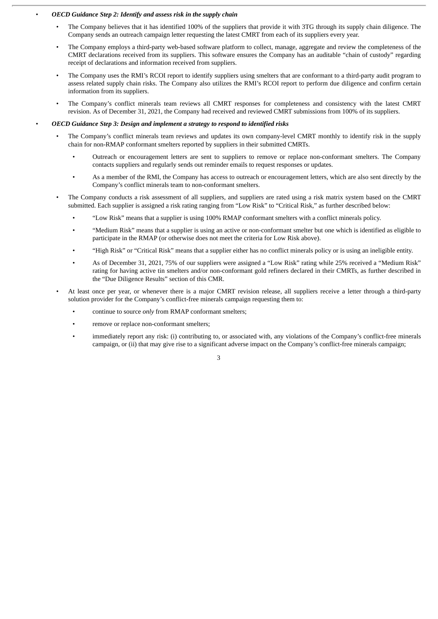#### • *OECD Guidance Step 2: Identify and assess risk in the supply chain*

- The Company believes that it has identified 100% of the suppliers that provide it with 3TG through its supply chain diligence. The Company sends an outreach campaign letter requesting the latest CMRT from each of its suppliers every year.
- The Company employs a third-party web-based software platform to collect, manage, aggregate and review the completeness of the CMRT declarations received from its suppliers. This software ensures the Company has an auditable "chain of custody" regarding receipt of declarations and information received from suppliers.
- The Company uses the RMI's RCOI report to identify suppliers using smelters that are conformant to a third-party audit program to assess related supply chain risks. The Company also utilizes the RMI's RCOI report to perform due diligence and confirm certain information from its suppliers.
- The Company's conflict minerals team reviews all CMRT responses for completeness and consistency with the latest CMRT revision. As of December 31, 2021, the Company had received and reviewed CMRT submissions from 100% of its suppliers.

#### • *OECD Guidance Step 3: Design and implement a strategy to respond to identified risks*

- The Company's conflict minerals team reviews and updates its own company-level CMRT monthly to identify risk in the supply chain for non-RMAP conformant smelters reported by suppliers in their submitted CMRTs.
	- Outreach or encouragement letters are sent to suppliers to remove or replace non-conformant smelters. The Company contacts suppliers and regularly sends out reminder emails to request responses or updates.
	- As a member of the RMI, the Company has access to outreach or encouragement letters, which are also sent directly by the Company's conflict minerals team to non-conformant smelters.
- The Company conducts a risk assessment of all suppliers, and suppliers are rated using a risk matrix system based on the CMRT submitted. Each supplier is assigned a risk rating ranging from "Low Risk" to "Critical Risk," as further described below:
	- "Low Risk" means that a supplier is using 100% RMAP conformant smelters with a conflict minerals policy.
	- "Medium Risk" means that a supplier is using an active or non-conformant smelter but one which is identified as eligible to participate in the RMAP (or otherwise does not meet the criteria for Low Risk above).
	- "High Risk" or "Critical Risk" means that a supplier either has no conflict minerals policy or is using an ineligible entity.
	- As of December 31, 2021, 75% of our suppliers were assigned a "Low Risk" rating while 25% received a "Medium Risk" rating for having active tin smelters and/or non-conformant gold refiners declared in their CMRTs, as further described in the "Due Diligence Results" section of this CMR.
- At least once per year, or whenever there is a major CMRT revision release, all suppliers receive a letter through a third-party solution provider for the Company's conflict-free minerals campaign requesting them to:
	- continue to source *only* from RMAP conformant smelters;
	- remove or replace non-conformant smelters;
	- immediately report any risk: (i) contributing to, or associated with, any violations of the Company's conflict-free minerals campaign, or (ii) that may give rise to a significant adverse impact on the Company's conflict-free minerals campaign;

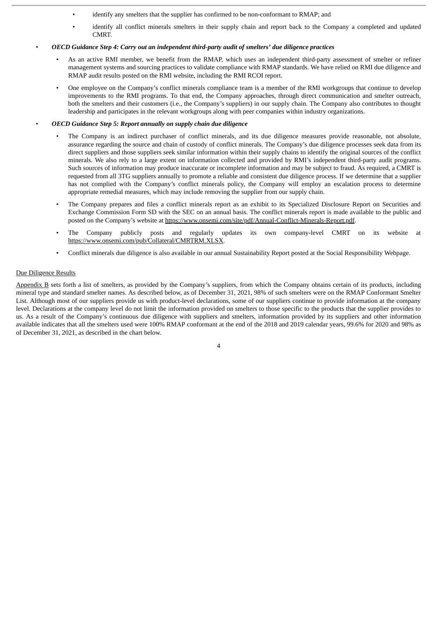- identify any smelters that the supplier has confirmed to be non-conformant to RMAP; and
- identify all conflict minerals smelters in their supply chain and report back to the Company a completed and updated CMRT.

#### • *OECD Guidance Step 4: Carry out an independent third-party audit of smelters' due diligence practices*

- As an active RMI member, we benefit from the RMAP, which uses an independent third-party assessment of smelter or refiner management systems and sourcing practices to validate compliance with RMAP standards. We have relied on RMI due diligence and RMAP audit results posted on the RMI website, including the RMI RCOI report.
- One employee on the Company's conflict minerals compliance team is a member of the RMI workgroups that continue to develop improvements to the RMI programs. To that end, the Company approaches, through direct communication and smelter outreach, both the smelters and their customers (i.e., the Company's suppliers) in our supply chain. The Company also contributes to thought leadership and participates in the relevant workgroups along with peer companies within industry organizations.
- *OECD Guidance Step 5: Report annually on supply chain due diligence*
	- The Company is an indirect purchaser of conflict minerals, and its due diligence measures provide reasonable, not absolute, assurance regarding the source and chain of custody of conflict minerals. The Company's due diligence processes seek data from its direct suppliers and those suppliers seek similar information within their supply chains to identify the original sources of the conflict minerals. We also rely to a large extent on information collected and provided by RMI's independent third-party audit programs. Such sources of information may produce inaccurate or incomplete information and may be subject to fraud. As required, a CMRT is requested from all 3TG suppliers annually to promote a reliable and consistent due diligence process. If we determine that a supplier has not complied with the Company's conflict minerals policy, the Company will employ an escalation process to determine appropriate remedial measures, which may include removing the supplier from our supply chain.
	- The Company prepares and files a conflict minerals report as an exhibit to its Specialized Disclosure Report on Securities and Exchange Commission Form SD with the SEC on an annual basis. The conflict minerals report is made available to the public and posted on the Company's website at https://www.onsemi.com/site/pdf/Annual-Conflict-Minerals-Report.pdf.
	- The Company publicly posts and regularly updates its own company-level CMRT on its website at https://www.onsemi.com/pub/Collateral/CMRTRM.XLSX.
	- Conflict minerals due diligence is also available in our annual Sustainability Report posted at the Social Responsibility Webpage.

#### Due Diligence Results

Appendix B sets forth a list of smelters, as provided by the Company's suppliers, from which the Company obtains certain of its products, including mineral type and standard smelter names. As described below, as of December 31, 2021, 98% of such smelters were on the RMAP Conformant Smelter List. Although most of our suppliers provide us with product-level declarations, some of our suppliers continue to provide information at the company level. Declarations at the company level do not limit the information provided on smelters to those specific to the products that the supplier provides to us. As a result of the Company's continuous due diligence with suppliers and smelters, information provided by its suppliers and other information available indicates that all the smelters used were 100% RMAP conformant at the end of the 2018 and 2019 calendar years, 99.6% for 2020 and 98% as of December 31, 2021, as described in the chart below.

 $\overline{A}$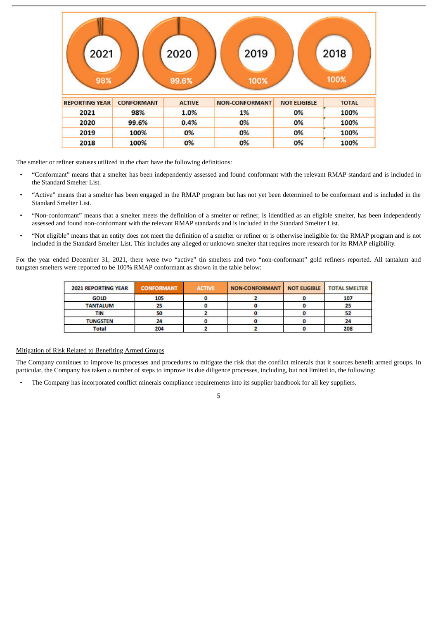| 2021<br>98%           |                   | 2020<br>99.6% | 2019<br>100%          |                     | 2018<br>100% |
|-----------------------|-------------------|---------------|-----------------------|---------------------|--------------|
| <b>REPORTING YEAR</b> | <b>CONFORMANT</b> | <b>ACTIVE</b> | <b>NON-CONFORMANT</b> | <b>NOT ELIGIBLE</b> | <b>TOTAL</b> |
| 2021                  | 98%               | 1.0%          | 1%                    | 0%                  | 100%         |
| 2020                  | 99.6%             | 0.4%          | 0%                    | 0%                  | 100%         |
| 2019                  | 100%              | 0%            | 0%                    | 0%                  | 100%         |
| 2018                  | 100%              | 0%            | 0%                    | 0%                  | 100%         |

The smelter or refiner statuses utilized in the chart have the following definitions:

- "Conformant" means that a smelter has been independently assessed and found conformant with the relevant RMAP standard and is included in the Standard Smelter List.
- "Active" means that a smelter has been engaged in the RMAP program but has not yet been determined to be conformant and is included in the Standard Smelter List.
- "Non-conformant" means that a smelter meets the definition of a smelter or refiner, is identified as an eligible smelter, has been independently assessed and found non-conformant with the relevant RMAP standards and is included in the Standard Smelter List.
- "Not eligible" means that an entity does not meet the definition of a smelter or refiner or is otherwise ineligible for the RMAP program and is not included in the Standard Smelter List. This includes any alleged or unknown smelter that requires more research for its RMAP eligibility.

For the year ended December 31, 2021, there were two "active" tin smelters and two "non-conformant" gold refiners reported. All tantalum and tungsten smelters were reported to be 100% RMAP conformant as shown in the table below:

| <b>2021 REPORTING YEAR</b> | <b>CONFORMANT</b> | <b>ACTIVE</b> | <b>NON-CONFORMANT</b> | <b>NOT ELIGIBLE</b> | <b>TOTAL SMELTER</b> |
|----------------------------|-------------------|---------------|-----------------------|---------------------|----------------------|
| <b>GOLD</b>                | 105               |               |                       |                     | 107                  |
| <b>TANTALUM</b>            |                   |               |                       |                     |                      |
| TIN                        | 50                |               |                       |                     |                      |
| <b>TUNGSTEN</b>            | 24                |               |                       |                     | 24                   |
| <b>Total</b>               | 204               |               |                       |                     | 208                  |

#### Mitigation of Risk Related to Benefiting Armed Groups

The Company continues to improve its processes and procedures to mitigate the risk that the conflict minerals that it sources benefit armed groups. In particular, the Company has taken a number of steps to improve its due diligence processes, including, but not limited to, the following:

• The Company has incorporated conflict minerals compliance requirements into its supplier handbook for all key suppliers.

5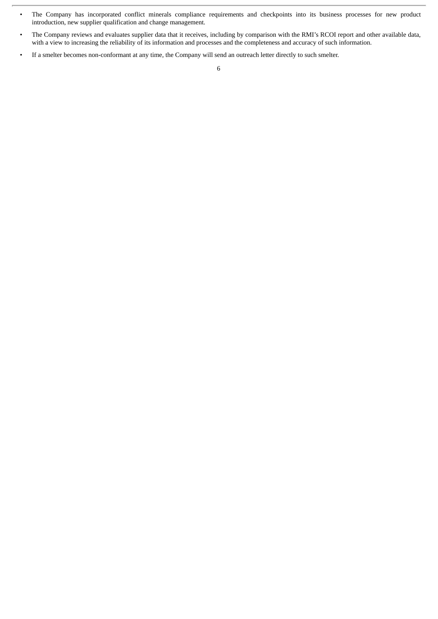- The Company has incorporated conflict minerals compliance requirements and checkpoints into its business processes for new product introduction, new supplier qualification and change management.
- The Company reviews and evaluates supplier data that it receives, including by comparison with the RMI's RCOI report and other available data, with a view to increasing the reliability of its information and processes and the completeness and accuracy of such information.
- If a smelter becomes non-conformant at any time, the Company will send an outreach letter directly to such smelter.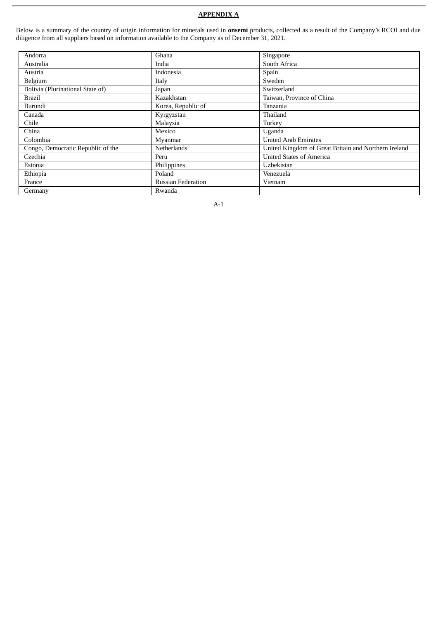#### **APPENDIX A**

Below is a summary of the country of origin information for minerals used in **onsemi** products, collected as a result of the Company's RCOI and due diligence from all suppliers based on information available to the Company as of December 31, 2021.

| Andorra                           | Ghana                     | Singapore                                            |
|-----------------------------------|---------------------------|------------------------------------------------------|
| Australia                         | India                     | South Africa                                         |
| Austria                           | Indonesia                 | Spain                                                |
| Belgium                           | Italy                     | Sweden                                               |
| Bolivia (Plurinational State of)  | Japan                     | Switzerland                                          |
| <b>Brazil</b>                     | Kazakhstan                | Taiwan, Province of China                            |
| Burundi                           | Korea, Republic of        | Tanzania                                             |
| Canada                            | Kyrgyzstan                | Thailand                                             |
| Chile                             | Malaysia                  | Turkey                                               |
| China                             | Mexico                    | Uganda                                               |
| Colombia                          | Myanmar                   | <b>United Arab Emirates</b>                          |
| Congo, Democratic Republic of the | <b>Netherlands</b>        | United Kingdom of Great Britain and Northern Ireland |
| Czechia                           | Peru                      | <b>United States of America</b>                      |
| Estonia                           | Philippines               | Uzbekistan                                           |
| Ethiopia                          | Poland                    | Venezuela                                            |
| France                            | <b>Russian Federation</b> | Vietnam                                              |
| Germany                           | Rwanda                    |                                                      |

A-1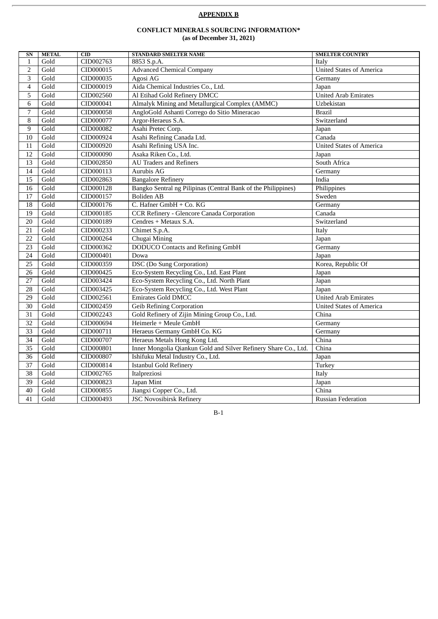#### **APPENDIX B**

#### **CONFLICT MINERALS SOURCING INFORMATION\* (as of December 31, 2021)**

| SN              | <b>METAL</b> | CD        | <b>STANDARD SMELTER NAME</b>                                    | <b>SMELTER COUNTRY</b>          |
|-----------------|--------------|-----------|-----------------------------------------------------------------|---------------------------------|
| $\mathbf{1}$    | Gold         | CID002763 | 8853 S.p.A.                                                     | Italy                           |
| 2               | Gold         | CID000015 | <b>Advanced Chemical Company</b>                                | <b>United States of America</b> |
| 3               | Gold         | CID000035 | Agosi AG                                                        | Germany                         |
| $\overline{4}$  | Gold         | CID000019 | Aida Chemical Industries Co., Ltd.                              | Japan                           |
| 5               | Gold         | CID002560 | Al Etihad Gold Refinery DMCC                                    | <b>United Arab Emirates</b>     |
| 6               | Gold         | CID000041 | Almalyk Mining and Metallurgical Complex (AMMC)                 | Uzbekistan                      |
| $\overline{7}$  | Gold         | CID000058 | AngloGold Ashanti Corrego do Sitio Mineracao                    | <b>Brazil</b>                   |
| 8               | Gold         | CID000077 | Argor-Heraeus S.A.                                              | Switzerland                     |
| 9               | Gold         | CID000082 | Asahi Pretec Corp.                                              | Japan                           |
| $10\,$          | Gold         | CID000924 | Asahi Refining Canada Ltd.                                      | Canada                          |
| $\overline{11}$ | Gold         | CID000920 | Asahi Refining USA Inc.                                         | <b>United States of America</b> |
| 12              | Gold         | CID000090 | Asaka Riken Co., Ltd.                                           | Japan                           |
| 13              | Gold         | CID002850 | <b>AU Traders and Refiners</b>                                  | South Africa                    |
| $\overline{14}$ | Gold         | CID000113 | Aurubis AG                                                      | Germany                         |
| 15              | Gold         | CID002863 | <b>Bangalore Refinery</b>                                       | India                           |
| $\overline{16}$ | Gold         | CID000128 | Bangko Sentral ng Pilipinas (Central Bank of the Philippines)   | Philippines                     |
| 17              | Gold         | CID000157 | <b>Boliden AB</b>                                               | Sweden                          |
| 18              | Gold         | CID000176 | C. Hafner GmbH + Co. KG                                         | Germany                         |
| 19              | Gold         | CID000185 | <b>CCR Refinery - Glencore Canada Corporation</b>               | Canada                          |
| 20              | Gold         | CID000189 | Cendres + Metaux S.A.                                           | Switzerland                     |
| $\overline{21}$ | Gold         | CID000233 | Chimet S.p.A.                                                   | Italy                           |
| 22              | Gold         | CID000264 | Chugai Mining                                                   | Japan                           |
| 23              | Gold         | CID000362 | <b>DODUCO</b> Contacts and Refining GmbH                        | Germany                         |
| 24              | Gold         | CID000401 | Dowa                                                            | Japan                           |
| 25              | Gold         | CID000359 | DSC (Do Sung Corporation)                                       | Korea, Republic Of              |
| $\overline{26}$ | Gold         | CID000425 | Eco-System Recycling Co., Ltd. East Plant                       | Japan                           |
| 27              | Gold         | CID003424 | Eco-System Recycling Co., Ltd. North Plant                      | Japan                           |
| 28              | Gold         | CID003425 | Eco-System Recycling Co., Ltd. West Plant                       | Japan                           |
| 29              | Gold         | CID002561 | <b>Emirates Gold DMCC</b>                                       | <b>United Arab Emirates</b>     |
| 30              | Gold         | CID002459 | <b>Geib Refining Corporation</b>                                | <b>United States of America</b> |
| $\overline{31}$ | Gold         | CID002243 | Gold Refinery of Zijin Mining Group Co., Ltd.                   | China                           |
| 32              | Gold         | CID000694 | Heimerle + Meule GmbH                                           | Germany                         |
| 33              | Gold         | CID000711 | Heraeus Germany GmbH Co. KG                                     | Germany                         |
| $\overline{34}$ | Gold         | CID000707 | Heraeus Metals Hong Kong Ltd.                                   | China                           |
| $\overline{35}$ | Gold         | CID000801 | Inner Mongolia Qiankun Gold and Silver Refinery Share Co., Ltd. | China                           |
| $\overline{36}$ | Gold         | CID000807 | Ishifuku Metal Industry Co., Ltd.                               | Japan                           |
| 37              | Gold         | CID000814 | <b>Istanbul Gold Refinery</b>                                   | Turkey                          |
| 38              | Gold         | CID002765 | Italpreziosi                                                    | Italy                           |
| 39              | Gold         | CID000823 | Japan Mint                                                      | Japan                           |
| 40              | Gold         | CID000855 | Jiangxi Copper Co., Ltd.                                        | China                           |
| 41              | Gold         | CID000493 | <b>JSC Novosibirsk Refinery</b>                                 | <b>Russian Federation</b>       |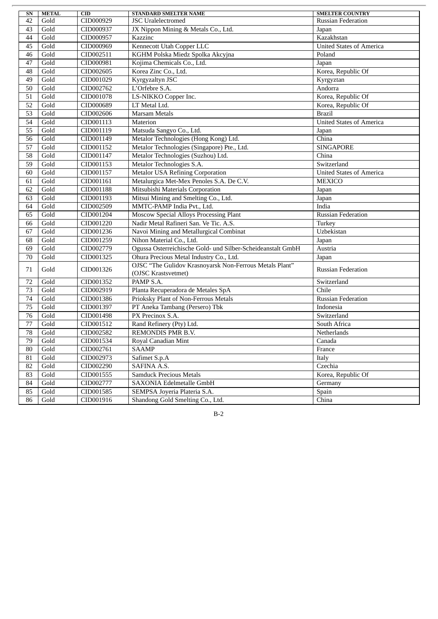| SN              | <b>METAL</b> | <b>CID</b> | <b>STANDARD SMELTER NAME</b>                                | <b>SMELTER COUNTRY</b>          |
|-----------------|--------------|------------|-------------------------------------------------------------|---------------------------------|
| 42              | Gold         | CID000929  | <b>JSC</b> Uralelectromed                                   | <b>Russian Federation</b>       |
| 43              | Gold         | CID000937  | JX Nippon Mining & Metals Co., Ltd.                         | Japan                           |
| 44              | Gold         | CID000957  | Kazzinc                                                     | Kazakhstan                      |
| 45              | Gold         | CID000969  | Kennecott Utah Copper LLC                                   | <b>United States of America</b> |
| 46              | Gold         | CID002511  | KGHM Polska Miedz Spolka Akcyjna                            | Poland                          |
| 47              | Gold         | CID000981  | Kojima Chemicals Co., Ltd.                                  | Japan                           |
| 48              | Gold         | CID002605  | Korea Zinc Co., Ltd.                                        | Korea, Republic Of              |
| 49              | Gold         | CID001029  | Kyrgyzaltyn JSC                                             | Kyrgyztan                       |
| $\overline{50}$ | Gold         | CID002762  | L'Orfebre S.A.                                              | Andorra                         |
| 51              | Gold         | CID001078  | LS-NIKKO Copper Inc.                                        | Korea, Republic Of              |
| 52              | Gold         | CID000689  | LT Metal Ltd.                                               | Korea, Republic Of              |
| 53              | Gold         | CID002606  | <b>Marsam Metals</b>                                        | <b>Brazil</b>                   |
| 54              | Gold         | CID001113  | Materion                                                    | <b>United States of America</b> |
| 55              | Gold         | CID001119  | Matsuda Sangyo Co., Ltd.                                    | Japan                           |
| 56              | Gold         | CID001149  | Metalor Technologies (Hong Kong) Ltd.                       | China                           |
| 57              | Gold         | CID001152  | Metalor Technologies (Singapore) Pte., Ltd.                 | <b>SINGAPORE</b>                |
| 58              | Gold         | CID001147  | Metalor Technologies (Suzhou) Ltd.                          | China                           |
| 59              | Gold         | CID001153  | Metalor Technologies S.A.                                   | Switzerland                     |
| 60              | Gold         | CID001157  | <b>Metalor USA Refining Corporation</b>                     | <b>United States of America</b> |
| 61              | Gold         | CID001161  | Metalurgica Met-Mex Penoles S.A. De C.V.                    | <b>MEXICO</b>                   |
| 62              | Gold         | CID001188  | Mitsubishi Materials Corporation                            | Japan                           |
| 63              | Gold         | CID001193  | Mitsui Mining and Smelting Co., Ltd.                        | Japan                           |
| 64              | Gold         | CID002509  | MMTC-PAMP India Pvt., Ltd.                                  | India                           |
| 65              | Gold         | CID001204  | Moscow Special Alloys Processing Plant                      | <b>Russian Federation</b>       |
| 66              | Gold         | CID001220  | Nadir Metal Rafineri San. Ve Tic. A.S.                      | Turkey                          |
| 67              | Gold         | CID001236  | Navoi Mining and Metallurgical Combinat                     | Uzbekistan                      |
| 68              | Gold         | CID001259  | Nihon Material Co., Ltd.                                    | Japan                           |
| 69              | Gold         | CID002779  | Ogussa Osterreichische Gold- und Silber-Scheideanstalt GmbH | Austria                         |
| 70              | Gold         | CID001325  | Ohura Precious Metal Industry Co., Ltd.                     | Japan                           |
| 71              | Gold         | CID001326  | OJSC "The Gulidov Krasnoyarsk Non-Ferrous Metals Plant"     | <b>Russian Federation</b>       |
|                 |              |            | (OJSC Krastsvetmet)                                         |                                 |
| 72              | Gold         | CID001352  | PAMP S.A.                                                   | Switzerland                     |
| 73              | Gold         | CID002919  | Planta Recuperadora de Metales SpA                          | Chile                           |
| 74              | Gold         | CID001386  | Prioksky Plant of Non-Ferrous Metals                        | <b>Russian Federation</b>       |
| 75              | Gold         | CID001397  | PT Aneka Tambang (Persero) Tbk                              | Indonesia                       |
| 76              | Gold         | CID001498  | PX Precinox S.A.                                            | Switzerland                     |
| 77              | Gold         | CID001512  | Rand Refinery (Pty) Ltd.                                    | South Africa                    |
| 78              | Gold         | CID002582  | REMONDIS PMR B.V.                                           | Netherlands                     |
| 79              | Gold         | CID001534  | Royal Canadian Mint                                         | Canada                          |
| 80              | Gold         | CID002761  | <b>SAAMP</b>                                                | France                          |
| 81              | Gold         | CID002973  | Safimet S.p.A                                               | Italy                           |
| 82              | Gold         | CID002290  | SAFINA A.S.                                                 | Czechia                         |
| 83              | Gold         | CID001555  | <b>Samduck Precious Metals</b>                              | Korea, Republic Of              |
| 84              | Gold         | CID002777  | SAXONIA Edelmetalle GmbH                                    | Germany                         |
| 85              | Gold         | CID001585  | SEMPSA Joyeria Plateria S.A.                                | Spain                           |
| 86              | Gold         | CID001916  | Shandong Gold Smelting Co., Ltd.                            | China                           |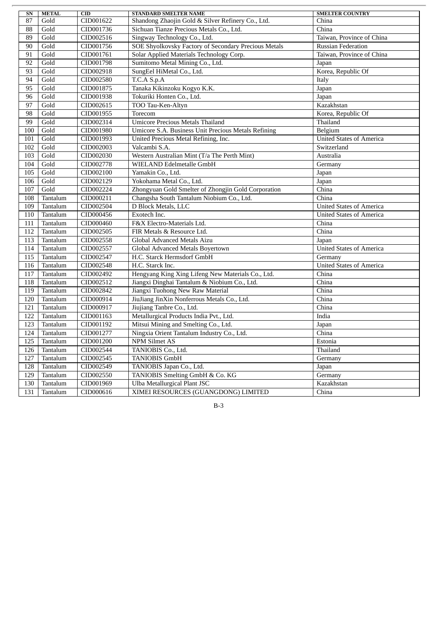| <b>SN</b> | <b>METAL</b> | CID       | <b>STANDARD SMELTER NAME</b>                         | <b>SMELTER COUNTRY</b>          |
|-----------|--------------|-----------|------------------------------------------------------|---------------------------------|
| 87        | Gold         | CID001622 | Shandong Zhaojin Gold & Silver Refinery Co., Ltd.    | China                           |
| 88        | Gold         | CID001736 | Sichuan Tianze Precious Metals Co., Ltd.             | China                           |
| 89        | Gold         | CID002516 | Singway Technology Co., Ltd.                         | Taiwan, Province of China       |
| 90        | Gold         | CID001756 | SOE Shyolkovsky Factory of Secondary Precious Metals | <b>Russian Federation</b>       |
| 91        | Gold         | CID001761 | Solar Applied Materials Technology Corp.             | Taiwan, Province of China       |
| 92        | Gold         | CID001798 | Sumitomo Metal Mining Co., Ltd.                      | Japan                           |
| 93        | Gold         | CID002918 | SungEel HiMetal Co., Ltd.                            | Korea, Republic Of              |
| 94        | Gold         | CID002580 | T.C.A S.p.A                                          | Italy                           |
| 95        | Gold         | CID001875 | Tanaka Kikinzoku Kogyo K.K.                          | Japan                           |
| 96        | Gold         | CID001938 | Tokuriki Honten Co., Ltd.                            | Japan                           |
| 97        | Gold         | CID002615 | TOO Tau-Ken-Altyn                                    | Kazakhstan                      |
| 98        | Gold         | CID001955 | Torecom                                              | Korea, Republic Of              |
| 99        | Gold         | CID002314 | <b>Umicore Precious Metals Thailand</b>              | Thailand                        |
| 100       | Gold         | CID001980 | Umicore S.A. Business Unit Precious Metals Refining  | Belgium                         |
| 101       | Gold         | CID001993 | United Precious Metal Refining, Inc.                 | <b>United States of America</b> |
| 102       | Gold         | CID002003 | Valcambi S.A.                                        | Switzerland                     |
| 103       | Gold         | CID002030 | Western Australian Mint (T/a The Perth Mint)         | Australia                       |
| 104       | Gold         | CID002778 | WIELAND Edelmetalle GmbH                             | Germany                         |
| 105       | Gold         | CID002100 | Yamakin Co., Ltd.                                    | Japan                           |
| 106       | Gold         | CID002129 | Yokohama Metal Co., Ltd.                             | Japan                           |
| 107       | Gold         | CID002224 | Zhongyuan Gold Smelter of Zhongjin Gold Corporation  | China                           |
| 108       | Tantalum     | CID000211 | Changsha South Tantalum Niobium Co., Ltd.            | $\overline{\text{China}}$       |
| 109       | Tantalum     | CID002504 | D Block Metals, LLC                                  | <b>United States of America</b> |
| 110       | Tantalum     | CID000456 | Exotech Inc.                                         | <b>United States of America</b> |
| 111       | Tantalum     | CID000460 | F&X Electro-Materials Ltd.                           | China                           |
| 112       | Tantalum     | CID002505 | FIR Metals & Resource Ltd.                           | China                           |
| 113       | Tantalum     | CID002558 | Global Advanced Metals Aizu                          | Japan                           |
| 114       | Tantalum     | CID002557 | Global Advanced Metals Boyertown                     | <b>United States of America</b> |
| 115       | Tantalum     | CID002547 | H.C. Starck Hermsdorf GmbH                           | Germany                         |
| 116       | Tantalum     | CID002548 | H.C. Starck Inc.                                     | <b>United States of America</b> |
| 117       | Tantalum     | CID002492 | Hengyang King Xing Lifeng New Materials Co., Ltd.    | China                           |
| 118       | Tantalum     | CID002512 | Jiangxi Dinghai Tantalum & Niobium Co., Ltd.         | China                           |
| 119       | Tantalum     | CID002842 | Jiangxi Tuohong New Raw Material                     | China                           |
| 120       | Tantalum     | CID000914 | JiuJiang JinXin Nonferrous Metals Co., Ltd.          | China                           |
| 121       | Tantalum     | CID000917 | Jiujiang Tanbre Co., Ltd.                            | China                           |
| 122       | Tantalum     | CID001163 | Metallurgical Products India Pvt., Ltd.              | India                           |
| 123       | Tantalum     | CID001192 | Mitsui Mining and Smelting Co., Ltd.                 | Japan                           |
| 124       | Tantalum     | CID001277 | Ningxia Orient Tantalum Industry Co., Ltd.           | China                           |
| 125       | Tantalum     | CID001200 | <b>NPM Silmet AS</b>                                 | Estonia                         |
| 126       | Tantalum     | CID002544 | TANIOBIS Co., Ltd.                                   | Thailand                        |
| 127       | Tantalum     | CID002545 | <b>TANIOBIS GmbH</b>                                 | Germany                         |
| 128       | Tantalum     | CID002549 | TANIOBIS Japan Co., Ltd.                             | Japan                           |
| 129       | Tantalum     | CID002550 | TANIOBIS Smelting GmbH & Co. KG                      | Germany                         |
| 130       | Tantalum     | CID001969 | Ulba Metallurgical Plant JSC                         | Kazakhstan                      |
| 131       | Tantalum     | CID000616 | XIMEI RESOURCES (GUANGDONG) LIMITED                  | China                           |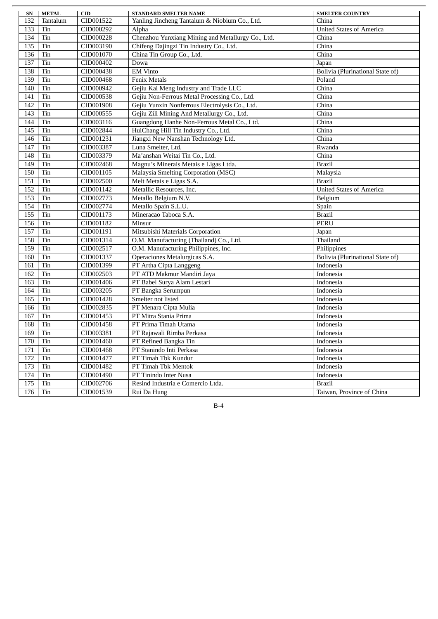| SN  | <b>METAL</b> | CID       | <b>STANDARD SMELTER NAME</b>                      | <b>SMELTER COUNTRY</b>           |
|-----|--------------|-----------|---------------------------------------------------|----------------------------------|
| 132 | Tantalum     | CID001522 | Yanling Jincheng Tantalum & Niobium Co., Ltd.     | China                            |
| 133 | Tin          | CID000292 | Alpha                                             | <b>United States of America</b>  |
| 134 | Tin          | CID000228 | Chenzhou Yunxiang Mining and Metallurgy Co., Ltd. | China                            |
| 135 | Tin          | CID003190 | Chifeng Dajingzi Tin Industry Co., Ltd.           | China                            |
| 136 | Tin          | CID001070 | China Tin Group Co., Ltd.                         | China                            |
| 137 | Tin          | CID000402 | Dowa                                              | Japan                            |
| 138 | Tin          | CID000438 | <b>EM Vinto</b>                                   | Bolivia (Plurinational State of) |
| 139 | Tin          | CID000468 | <b>Fenix Metals</b>                               | Poland                           |
| 140 | Tin          | CID000942 | Gejiu Kai Meng Industry and Trade LLC             | China                            |
| 141 | Tin          | CID000538 | Gejiu Non-Ferrous Metal Processing Co., Ltd.      | China                            |
| 142 | Tin          | CID001908 | Gejiu Yunxin Nonferrous Electrolysis Co., Ltd.    | China                            |
| 143 | Tin          | CID000555 | Gejiu Zili Mining And Metallurgy Co., Ltd.        | China                            |
| 144 | Tin          | CID003116 | Guangdong Hanhe Non-Ferrous Metal Co., Ltd.       | China                            |
| 145 | Tin          | CID002844 | HuiChang Hill Tin Industry Co., Ltd.              | China                            |
| 146 | Tin          | CID001231 | Jiangxi New Nanshan Technology Ltd.               | China                            |
| 147 | Tin          | CID003387 | Luna Smelter, Ltd.                                | Rwanda                           |
| 148 | Tin          | CID003379 | Ma'anshan Weitai Tin Co., Ltd.                    | China                            |
| 149 | Tin          | CID002468 | Magnu's Minerais Metais e Ligas Ltda.             | <b>Brazil</b>                    |
| 150 | Tin          | CID001105 | Malaysia Smelting Corporation (MSC)               | Malaysia                         |
| 151 | Tin          | CID002500 | Melt Metais e Ligas S.A.                          | <b>Brazil</b>                    |
| 152 | Tin          | CID001142 | Metallic Resources, Inc.                          | <b>United States of America</b>  |
| 153 | Tin          | CID002773 | Metallo Belgium N.V.                              | Belgium                          |
| 154 | Tin          | CID002774 | Metallo Spain S.L.U.                              | Spain                            |
| 155 | Tin          | CID001173 | Mineracao Taboca S.A.                             | <b>Brazil</b>                    |
| 156 | Tin          | CID001182 | Minsur                                            | <b>PERU</b>                      |
| 157 | Tin          | CID001191 | Mitsubishi Materials Corporation                  | Japan                            |
| 158 | Tin          | CID001314 | O.M. Manufacturing (Thailand) Co., Ltd.           | Thailand                         |
| 159 | Tin          | CID002517 | O.M. Manufacturing Philippines, Inc.              | Philippines                      |
| 160 | Tin          | CID001337 | Operaciones Metalurgicas S.A.                     | Bolivia (Plurinational State of) |
| 161 | Tin          | CID001399 | PT Artha Cipta Langgeng                           | Indonesia                        |
| 162 | Tin          | CID002503 | PT ATD Makmur Mandiri Jaya                        | Indonesia                        |
| 163 | Tin          | CID001406 | PT Babel Surya Alam Lestari                       | Indonesia                        |
| 164 | Tin          | CID003205 | PT Bangka Serumpun                                | Indonesia                        |
| 165 | Tin          | CID001428 | Smelter not listed                                | Indonesia                        |
| 166 | Tin          | CID002835 | PT Menara Cipta Mulia                             | Indonesia                        |
| 167 | Tin          | CID001453 | PT Mitra Stania Prima                             | Indonesia                        |
| 168 | Tin          | CID001458 | PT Prima Timah Utama                              | Indonesia                        |
| 169 | Tin          | CID003381 | PT Rajawali Rimba Perkasa                         | Indonesia                        |
| 170 | Tin          | CID001460 | PT Refined Bangka Tin                             | Indonesia                        |
| 171 | Tin          | CID001468 | PT Stanindo Inti Perkasa                          | Indonesia                        |
| 172 | Tin          | CID001477 | PT Timah Tbk Kundur                               | Indonesia                        |
| 173 | Tin          | CID001482 | PT Timah Tbk Mentok                               | Indonesia                        |
| 174 | Tin          | CID001490 | PT Tinindo Inter Nusa                             | Indonesia                        |
| 175 | Tin          | CID002706 | Resind Industria e Comercio Ltda.                 | <b>Brazil</b>                    |
| 176 | Tin          | CID001539 | Rui Da Hung                                       | Taiwan, Province of China        |